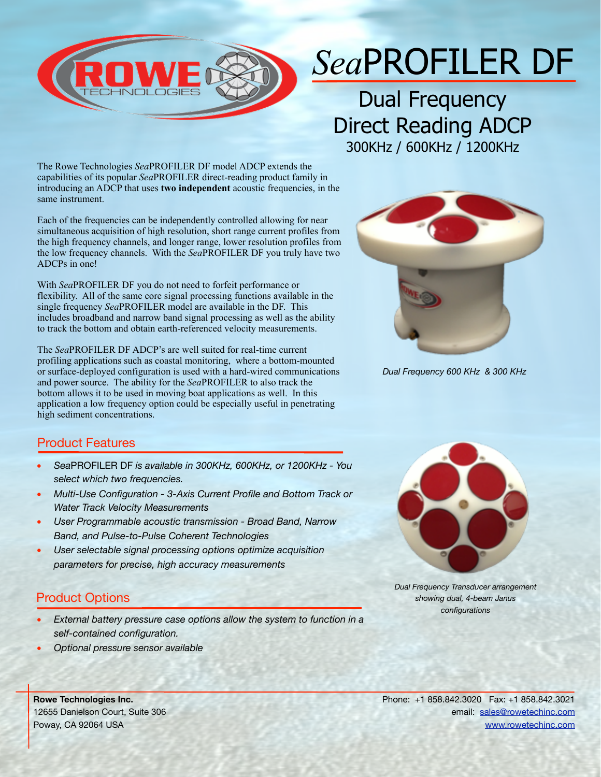

## *Sea*PROFILER DF

Dual Frequency Direct Reading ADCP 300KHz / 600KHz / 1200KHz

The Rowe Technologies *Sea*PROFILER DF model ADCP extends the capabilities of its popular *Sea*PROFILER direct-reading product family in introducing an ADCP that uses **two independent** acoustic frequencies, in the same instrument.

Each of the frequencies can be independently controlled allowing for near simultaneous acquisition of high resolution, short range current profiles from the high frequency channels, and longer range, lower resolution profiles from the low frequency channels. With the *Sea*PROFILER DF you truly have two ADCPs in one!

With *Sea*PROFILER DF you do not need to forfeit performance or flexibility. All of the same core signal processing functions available in the single frequency *Sea*PROFILER model are available in the DF. This includes broadband and narrow band signal processing as well as the ability to track the bottom and obtain earth-referenced velocity measurements.

The *Sea*PROFILER DF ADCP's are well suited for real-time current profiling applications such as coastal monitoring, where a bottom-mounted or surface-deployed configuration is used with a hard-wired communications and power source. The ability for the *Sea*PROFILER to also track the bottom allows it to be used in moving boat applications as well. In this application a low frequency option could be especially useful in penetrating high sediment concentrations.



*Dual Frequency 600 KHz & 300 KHz*

## Product Features

- *Sea*PROFILER DF *is available in 300KHz, 600KHz, or 1200KHz You select which two frequencies.*
- *Multi-Use Configuration 3-Axis Current Profile and Bottom Track or Water Track Velocity Measurements*
- *User Programmable acoustic transmission Broad Band, Narrow Band, and Pulse-to-Pulse Coherent Technologies*
- *User selectable signal processing options optimize acquisition parameters for precise, high accuracy measurements*

## Product Options

- *External battery pressure case options allow the system to function in a self-contained configuration.*
- *Optional pressure sensor available*



*Dual Frequency Transducer arrangement showing dual, 4-beam Janus configurations*

**Rowe Technologies Inc.** 12655 Danielson Court, Suite 306 Poway, CA 92064 USA

Phone: +1 858.842.3020 Fax: +1 858.842.3021 email: [sales@rowetechinc.com](mailto:sales@rowetechinc.com) [www.rowetechinc.com](http://www.rowetechinc.com)